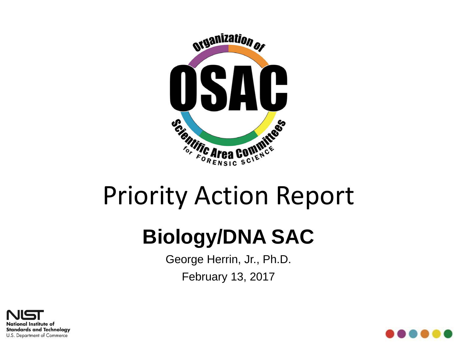

# Priority Action Report

# **Biology/DNA SAC**

George Herrin, Jr., Ph.D. February 13, 2017



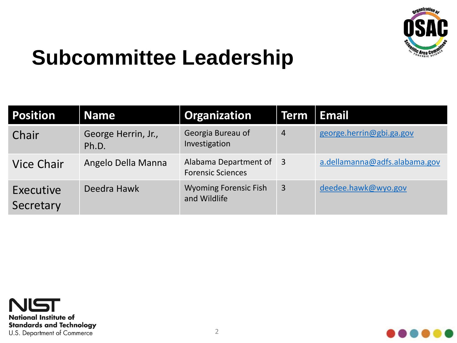

#### **Subcommittee Leadership**

| Position               | <b>Name</b>                  | <b>Organization</b>                                 | <b>Term</b>    | Email                         |
|------------------------|------------------------------|-----------------------------------------------------|----------------|-------------------------------|
| Chair                  | George Herrin, Jr.,<br>Ph.D. | Georgia Bureau of<br>Investigation                  | $\overline{4}$ | george.herrin@gbi.ga.gov      |
| <b>Vice Chair</b>      | Angelo Della Manna           | Alabama Department of 3<br><b>Forensic Sciences</b> |                | a.dellamanna@adfs.alabama.gov |
| Executive<br>Secretary | Deedra Hawk                  | <b>Wyoming Forensic Fish</b><br>and Wildlife        | $\overline{3}$ | deedee.hawk@wyo.gov           |



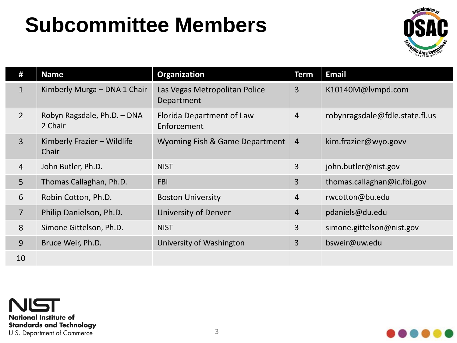#### **Subcommittee Members**



| #              | <b>Name</b>                            | Organization                                | <b>Term</b>    | <b>Email</b>                   |
|----------------|----------------------------------------|---------------------------------------------|----------------|--------------------------------|
| $\mathbf{1}$   | Kimberly Murga - DNA 1 Chair           | Las Vegas Metropolitan Police<br>Department | 3              | K10140M@lvmpd.com              |
| $2^{\circ}$    | Robyn Ragsdale, Ph.D. - DNA<br>2 Chair | Florida Department of Law<br>Enforcement    | $\overline{4}$ | robynragsdale@fdle.state.fl.us |
| $\overline{3}$ | Kimberly Frazier - Wildlife<br>Chair   | Wyoming Fish & Game Department              | $\overline{4}$ | kim.frazier@wyo.govv           |
| $\overline{4}$ | John Butler, Ph.D.                     | <b>NIST</b>                                 | 3              | john.butler@nist.gov           |
| 5              | Thomas Callaghan, Ph.D.                | <b>FBI</b>                                  | 3              | thomas.callaghan@ic.fbi.gov    |
| 6              | Robin Cotton, Ph.D.                    | <b>Boston University</b>                    | $\overline{4}$ | rwcotton@bu.edu                |
| $\overline{7}$ | Philip Danielson, Ph.D.                | University of Denver                        | 4              | pdaniels@du.edu                |
| 8              | Simone Gittelson, Ph.D.                | <b>NIST</b>                                 | 3              | simone.gittelson@nist.gov      |
| 9              | Bruce Weir, Ph.D.                      | University of Washington                    | 3              | bsweir@uw.edu                  |
| 10             |                                        |                                             |                |                                |



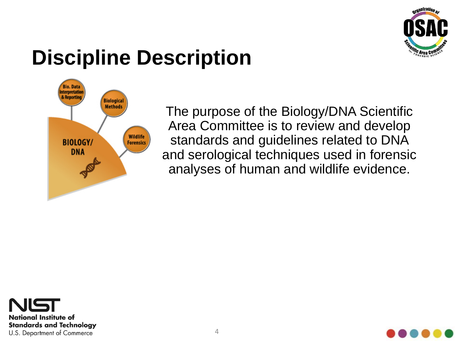

#### **Discipline Description**



The purpose of the Biology/DNA Scientific Area Committee is to review and develop standards and guidelines related to DNA and serological techniques used in forensic analyses of human and wildlife evidence.



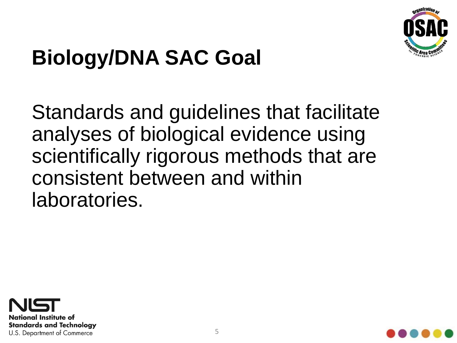

# **Biology/DNA SAC Goal**

Standards and guidelines that facilitate analyses of biological evidence using scientifically rigorous methods that are consistent between and within laboratories.



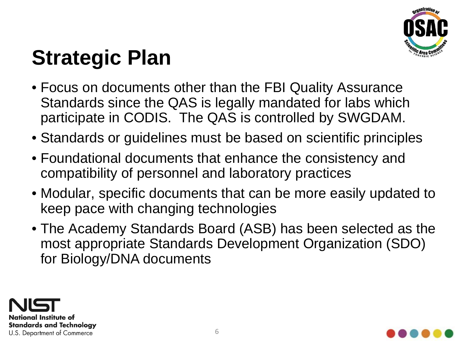

### **Strategic Plan**

- Focus on documents other than the FBI Quality Assurance Standards since the QAS is legally mandated for labs which participate in CODIS. The QAS is controlled by SWGDAM.
- Standards or guidelines must be based on scientific principles
- Foundational documents that enhance the consistency and compatibility of personnel and laboratory practices
- Modular, specific documents that can be more easily updated to keep pace with changing technologies
- The Academy Standards Board (ASB) has been selected as the most appropriate Standards Development Organization (SDO) for Biology/DNA documents



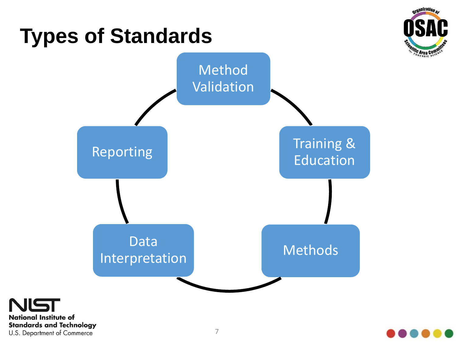



U.S. Department of Commerce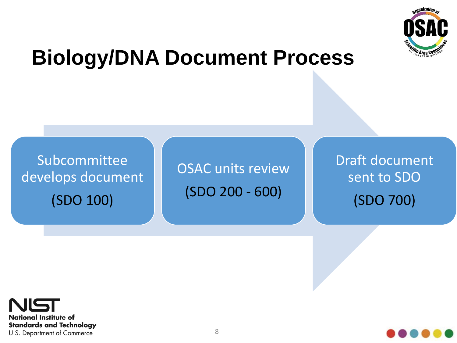

#### **Biology/DNA Document Process**

Subcommittee develops document (SDO 100)

OSAC units review (SDO 200 - 600)

Draft document sent to SDO (SDO 700)



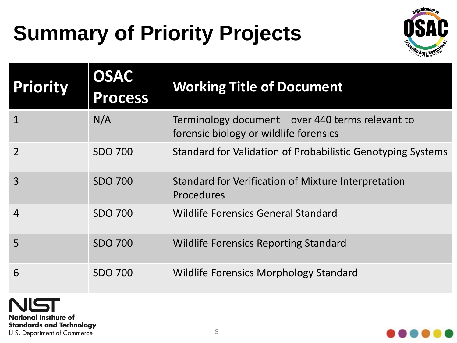# **Summary of Priority Projects**



| <b>Priority</b> | <b>OSAC</b><br><b>Process</b> | <b>Working Title of Document</b>                                                            |
|-----------------|-------------------------------|---------------------------------------------------------------------------------------------|
| $\mathbf 1$     | N/A                           | Terminology document - over 440 terms relevant to<br>forensic biology or wildlife forensics |
| $\overline{2}$  | <b>SDO 700</b>                | Standard for Validation of Probabilistic Genotyping Systems                                 |
| $\overline{3}$  | <b>SDO 700</b>                | Standard for Verification of Mixture Interpretation<br><b>Procedures</b>                    |
| $\overline{4}$  | <b>SDO 700</b>                | <b>Wildlife Forensics General Standard</b>                                                  |
| 5               | <b>SDO 700</b>                | <b>Wildlife Forensics Reporting Standard</b>                                                |
| 6               | <b>SDO 700</b>                | Wildlife Forensics Morphology Standard                                                      |



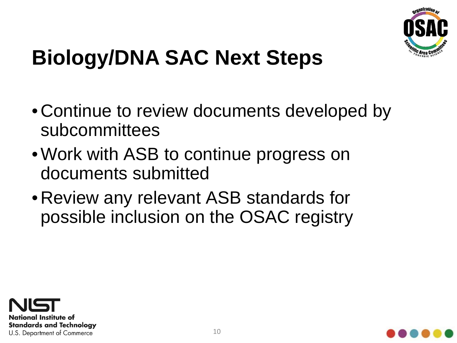

## **Biology/DNA SAC Next Steps**

- •Continue to review documents developed by subcommittees
- •Work with ASB to continue progress on documents submitted
- •Review any relevant ASB standards for possible inclusion on the OSAC registry